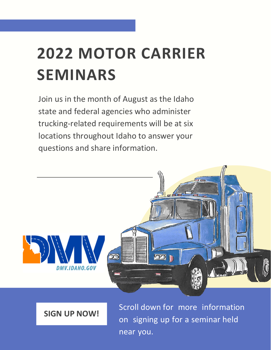## **2022 MOTOR CARRIER SEMINARS**

Join us in the month of August as the Idaho state and federal agencies who administer trucking-related requirements will be at six locations throughout Idaho to answer your questions and share information.



**SIGN UP NOW!**

Scroll down for more information on signing up for a seminar held near you.